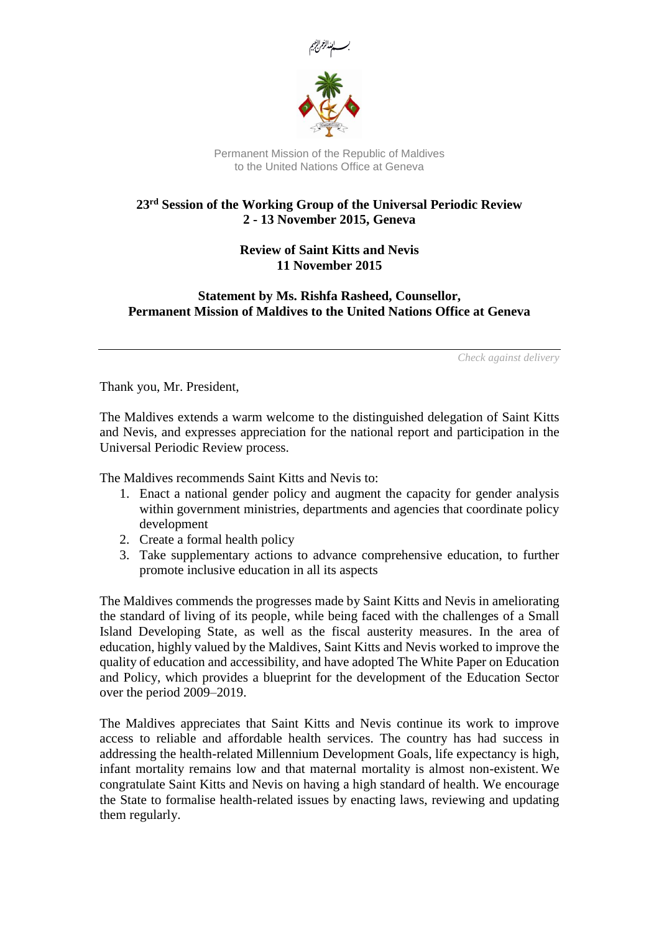

Permanent Mission of the Republic of Maldives to the United Nations Office at Geneva

## **23rd Session of the Working Group of the Universal Periodic Review 2 - 13 November 2015, Geneva**

**Review of Saint Kitts and Nevis 11 November 2015**

**Statement by Ms. Rishfa Rasheed, Counsellor, Permanent Mission of Maldives to the United Nations Office at Geneva**

*Check against delivery*

Thank you, Mr. President,

The Maldives extends a warm welcome to the distinguished delegation of Saint Kitts and Nevis, and expresses appreciation for the national report and participation in the Universal Periodic Review process.

The Maldives recommends Saint Kitts and Nevis to:

- 1. Enact a national gender policy and augment the capacity for gender analysis within government ministries, departments and agencies that coordinate policy development
- 2. Create a formal health policy
- 3. Take supplementary actions to advance comprehensive education, to further promote inclusive education in all its aspects

The Maldives commends the progresses made by Saint Kitts and Nevis in ameliorating the standard of living of its people, while being faced with the challenges of a Small Island Developing State, as well as the fiscal austerity measures. In the area of education, highly valued by the Maldives, Saint Kitts and Nevis worked to improve the quality of education and accessibility, and have adopted The White Paper on Education and Policy, which provides a blueprint for the development of the Education Sector over the period 2009–2019.

The Maldives appreciates that Saint Kitts and Nevis continue its work to improve access to reliable and affordable health services. The country has had success in addressing the health-related Millennium Development Goals, life expectancy is high, infant mortality remains low and that maternal mortality is almost non-existent. We congratulate Saint Kitts and Nevis on having a high standard of health. We encourage the State to formalise health-related issues by enacting laws, reviewing and updating them regularly.